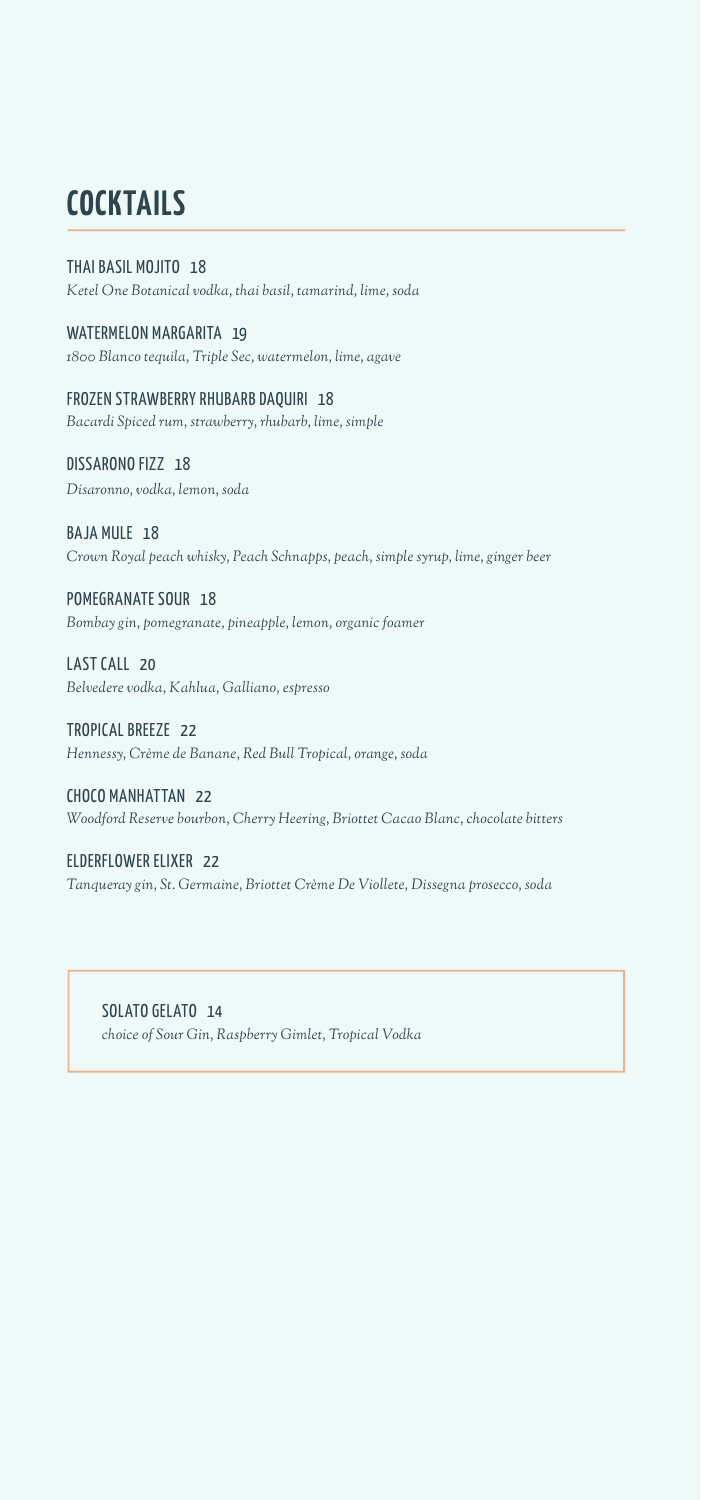## **COCKTAILS**

#### THAI BASIL MOJITO 18

*Ketel One Botanical vodka, thai basil, tamarind, lime, soda*

WATERMELON MARGARITA 19 *1800 Blanco tequila, Triple Sec, watermelon, lime, agave*

FROZEN STRAWBERRY RHUBARB DAQUIRI 18 *Bacardi Spiced rum, strawberry, rhubarb, lime, simple*

DISSARONO FIZZ 18 *Disaronno, vodka, lemon, soda*

BAJA MULE 18 *Crown Royal peach whisky, Peach Schnapps, peach, simple syrup, lime, ginger beer*

POMEGRANATE SOUR 18 *Bombay gin, pomegranate, pineapple, lemon, organic foamer*

LAST CALL 20 *Belvedere vodka, Kahlua, Galliano, espresso*

TROPICAL BREEZE 22 *Hennessy, Crème de Banane, Red Bull Tropical, orange, soda*

CHOCO MANHATTAN 22 *Woodford Reserve bourbon, Cherry Heering, Briottet Cacao Blanc, chocolate bitters*

ELDERFLOWER ELIXER 22 *Tanqueray gin, St. Germaine, Briottet Crème De Viollete, Dissegna prosecco, soda*

SOLATO GELATO 14 *choice of Sour Gin, Raspberry Gimlet, Tropical Vodka*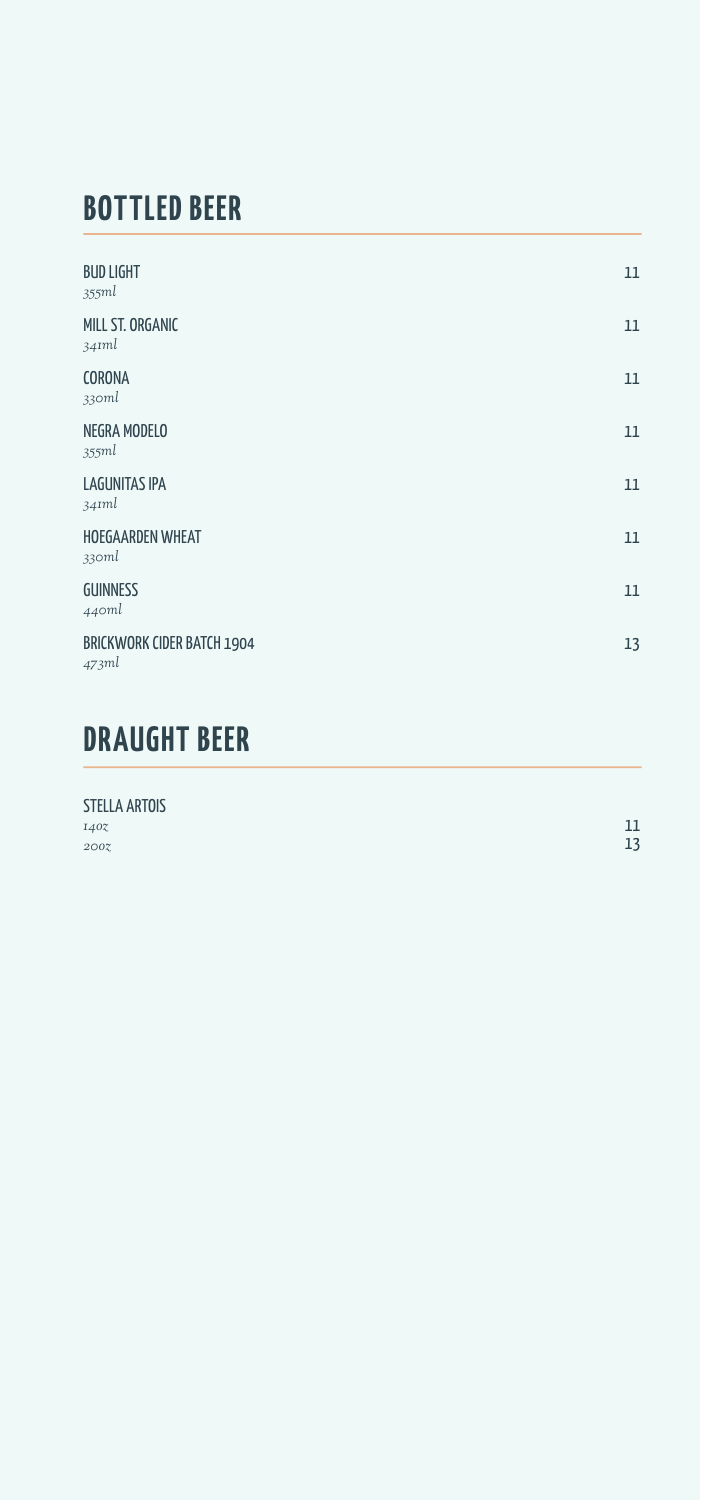## **BOTTLED BEER**

| <b>BUD LIGHT</b><br>355ml                  | 11 |
|--------------------------------------------|----|
| MILL ST. ORGANIC<br>34Iml                  | 11 |
| CORONA<br>330ml                            | 11 |
| NEGRA MODELO<br>355ml                      | 11 |
| <b>LAGUNITAS IPA</b><br>34Iml              | 11 |
| HOEGAARDEN WHEAT<br>330ml                  | 11 |
| <b>GUINNESS</b><br>440ml                   | 11 |
| <b>BRICKWORK CIDER BATCH 1904</b><br>473ml | 13 |
|                                            |    |

# **DRAUGHT BEER**

| <b>STELLA ARTOIS</b> |    |
|----------------------|----|
| 1407                 | 11 |
| 200                  | 13 |
|                      |    |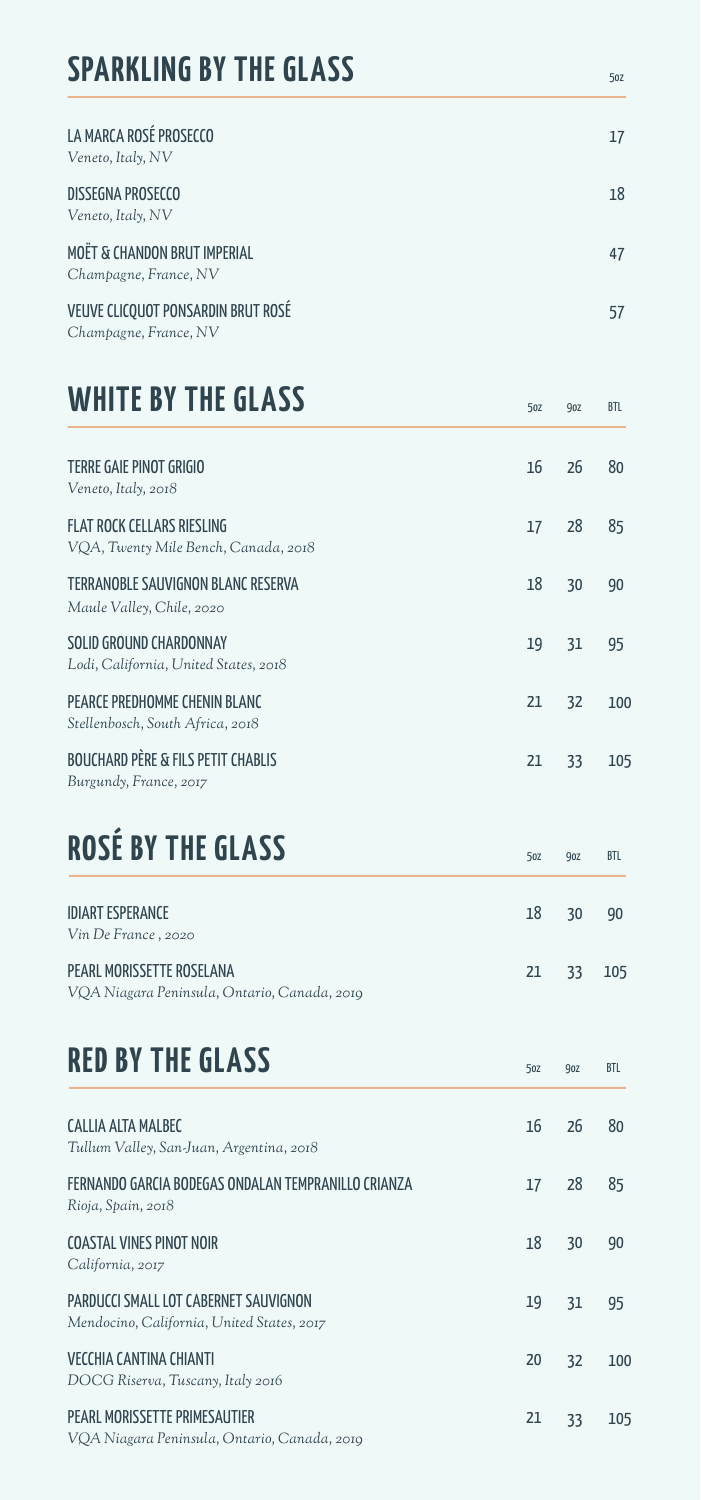## **SPARKLING BY THE GLASS**

| LA MARCA ROSÉ PROSECCO<br>Veneto, Italy, NV                 | 17 |
|-------------------------------------------------------------|----|
| DISSEGNA PROSECCO<br>Veneto, Italy, NV                      | 18 |
| MOËT & CHANDON BRUT IMPERIAL<br>Champagne, France, NV       | 47 |
| VEUVE CLICQUOT PONSARDIN BRUT ROSÉ<br>Champagne, France, NV | 57 |

5oz 9oz BTL

5oz

5oz 9oz BTL

5oz 9oz BTL

# **WHITE BY THE GLASS**

| TFRRF GAIF PINOT GRIGIO<br>Veneto, Italy, 2018                            | 16 | 26 | 80  |
|---------------------------------------------------------------------------|----|----|-----|
| <b>FLAT ROCK CELLARS RIESLING</b><br>VOA, Twenty Mile Bench, Canada, 2018 | 17 | 28 | 85  |
| TERRANOBLE SAUVIGNON BLANC RESERVA<br>Maule Valley, Chile, 2020           | 18 | 30 | 90  |
| SOLID GROUND CHARDONNAY<br>Lodi, California, United States, 2018          | 19 | 31 | 95  |
| PFARCE PREDHOMME CHENIN BI ANC<br>Stellenbosch, South Africa, 2018        | 21 | 32 | 100 |
| <b>BOUCHARD PÈRE &amp; FILS PETIT CHABLIS</b><br>Burgundy, France, 2017   | 21 | 33 | 105 |

# **ROSÉ BY THE GLASS**

| <b>IDIART ESPERANCE</b><br>Vin De France, 2020                            | 18 30     | - 90 |
|---------------------------------------------------------------------------|-----------|------|
| PEARL MORISSETTE ROSELANA<br>VQA Niagara Peninsula, Ontario, Canada, 2019 | 21 33 105 |      |

#### **RED BY THE GLASS**

| CALLIA ALTA MALBEC<br>Tullum Valley, San-Juan, Argentina, 2018                      | 16 | 26 | 80  |
|-------------------------------------------------------------------------------------|----|----|-----|
| FERNANDO GARCIA BODEGAS ONDALAN TEMPRANILLO CRIANZA<br>Rioja, Spain, 2018           | 17 | 28 | 85  |
| COASTAL VINES PINOT NOIR<br>California, 2017                                        | 18 | 30 | 90  |
| PARDUCCI SMALL LOT CABERNET SAUVIGNON<br>Mendocino, California, United States, 2017 | 19 | 31 | 95  |
| VECCHIA CANTINA CHIANTI<br>DOCG Riserva, Tuscany, Italy 2016                        | 20 | 32 | 100 |
| PEARL MORISSETTE PRIMESALITIER<br>VQA Niagara Peninsula, Ontario, Canada, 2019      | 21 | 33 | 105 |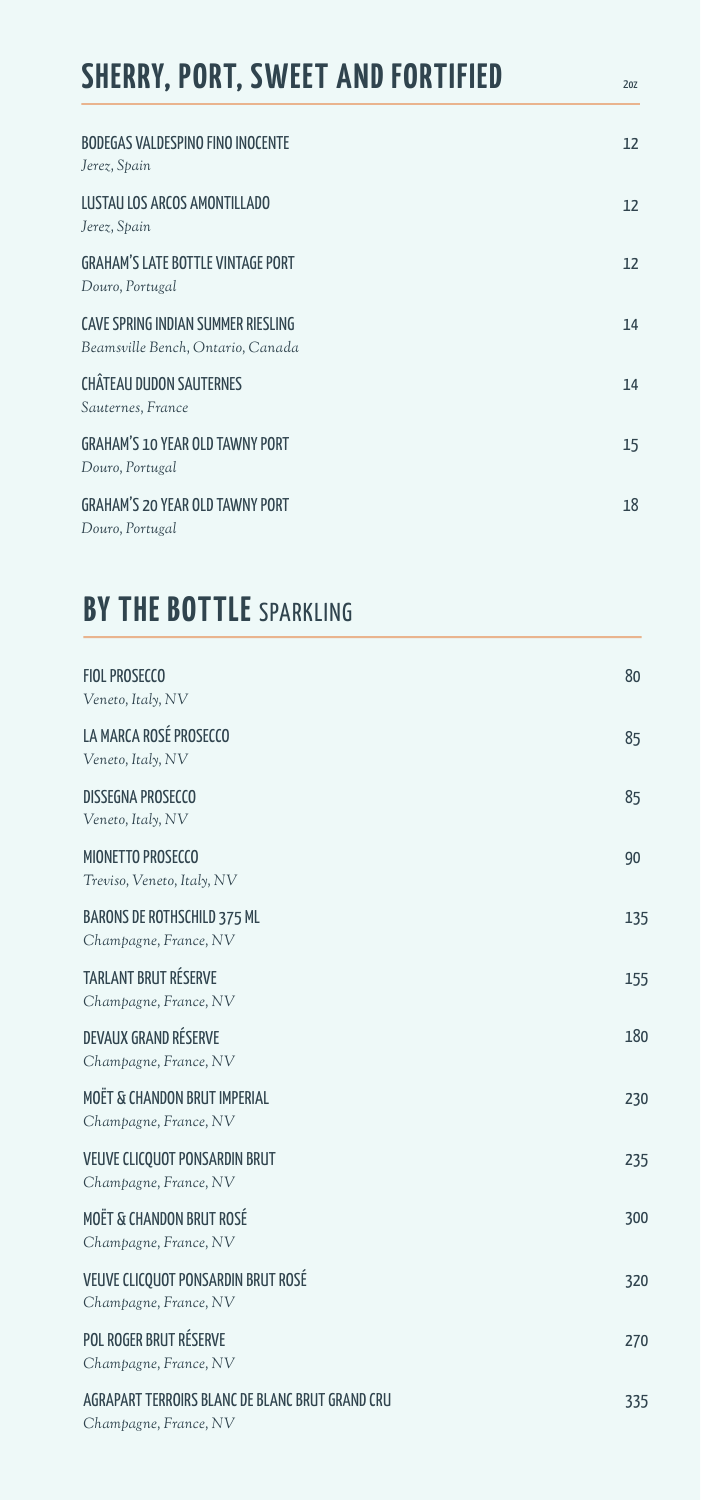| <b>SHERRY, PORT, SWEET AND FORTIFIED</b>                                | 20Z |
|-------------------------------------------------------------------------|-----|
| <b>BODEGAS VALDESPINO FINO INOCENTE</b><br>Jerez, Spain                 | 12  |
| LUSTAU LOS ARCOS AMONTILLADO<br>Jerez, Spain                            | 12  |
| <b>GRAHAM'S LATE BOTTLE VINTAGE PORT</b><br>Douro, Portugal             | 12  |
| CAVE SPRING INDIAN SUMMER RIESLING<br>Beamsville Bench, Ontario, Canada | 14  |
| <b>CHÂTEAU DUDON SAUTERNES</b><br>Sauternes, France                     | 14  |
| <b>GRAHAM'S 10 YEAR OLD TAWNY PORT</b><br>Douro, Portugal               | 15  |
| <b>GRAHAM'S 20 YEAR OLD TAWNY PORT</b><br>Douro, Portugal               | 18  |

### **BY THE BOTTLE** SPARKLING

| <b>FIOL PROSECCO</b><br>Veneto, Italy, NV                                | 80  |
|--------------------------------------------------------------------------|-----|
| LA MARCA ROSÉ PROSECCO<br>Veneto, Italy, NV                              | 85  |
| <b>DISSEGNA PROSECCO</b><br>Veneto, Italy, NV                            | 85  |
| <b>MIONETTO PROSECCO</b><br>Treviso, Veneto, Italy, NV                   | 90  |
| <b>BARONS DE ROTHSCHILD 375 ML</b><br>Champagne, France, NV              | 135 |
| <b>TARLANT BRUT RÉSERVE</b><br>Champagne, France, NV                     | 155 |
| DEVAUX GRAND RÉSERVE<br>Champagne, France, NV                            | 180 |
| MOËT & CHANDON BRUT IMPERIAL<br>Champagne, France, NV                    | 230 |
| VEUVE CLICQUOT PONSARDIN BRUT<br>Champagne, France, NV                   | 235 |
| <b>MOËT &amp; CHANDON BRUT ROSÉ</b><br>Champagne, France, NV             | 300 |
| VEUVE CLICQUOT PONSARDIN BRUT ROSÉ<br>Champagne, France, NV              | 320 |
| POL ROGER BRUT RÉSERVE<br>Champagne, France, NV                          | 270 |
| AGRAPART TERROIRS BLANC DE BLANC BRUT GRAND CRU<br>Champagne, France, NV | 335 |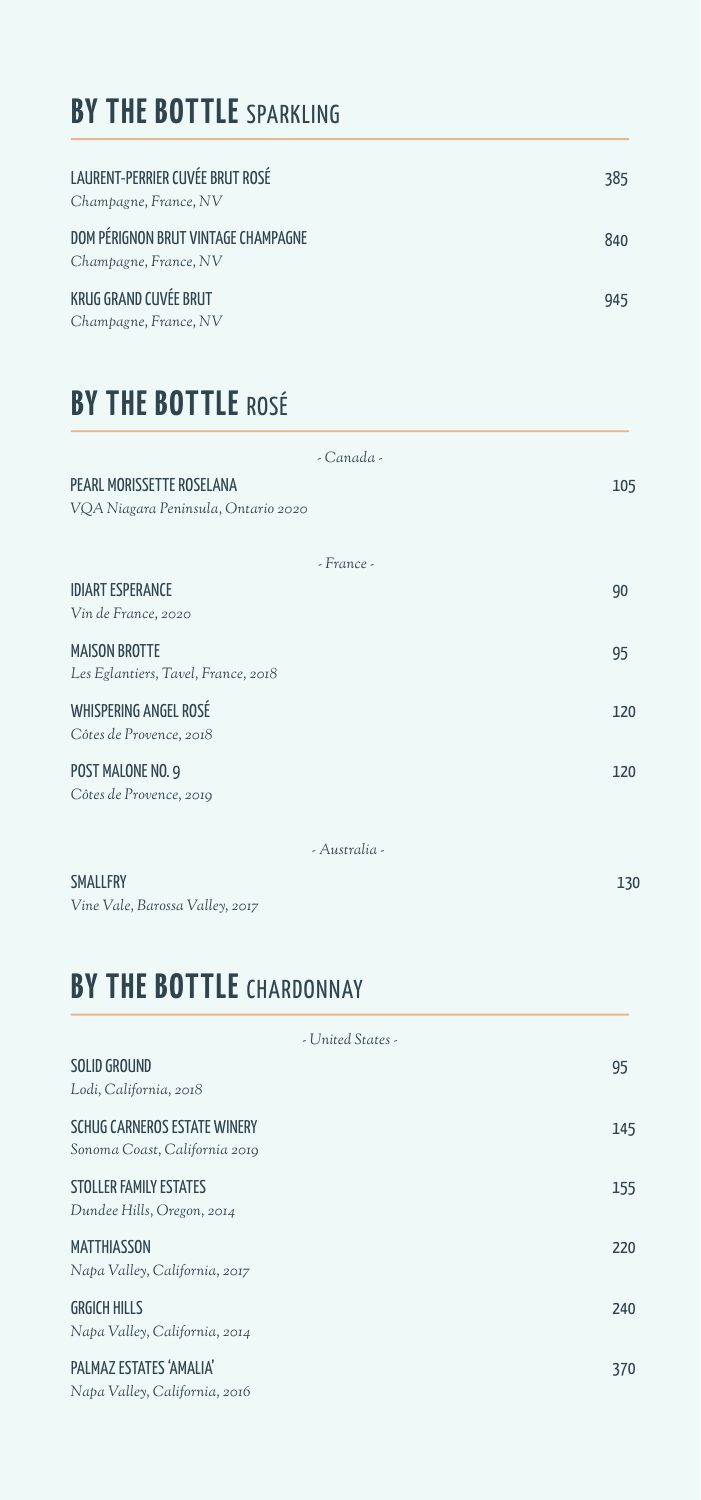### **BY THE BOTTLE** SPARKLING

| LAURENT-PERRIER CUVÉE BRUT ROSÉ<br>Champagne, France, NV     | 385 |
|--------------------------------------------------------------|-----|
| DOM PÉRIGNON BRUT VINTAGE CHAMPAGNE<br>Champagne, France, NV | 840 |
| KRUG GRAND CUVÉE BRUT<br>Champagne, France, NV               | 945 |

### **BY THE BOTTLE** ROSÉ

| - Canada -    |     |
|---------------|-----|
|               | 105 |
|               |     |
|               |     |
| - France -    |     |
|               | 90  |
|               |     |
|               | 95  |
|               |     |
|               | 120 |
|               |     |
|               | 120 |
|               |     |
|               |     |
| - Australia - |     |
|               |     |

130

SMALLFRY *Vine Vale, Barossa Valley, 2017*

# **BY THE BOTTLE** CHARDONNAY

| - United States -                                             |     |
|---------------------------------------------------------------|-----|
| SOLID GROUND<br>Lodi, California, 2018                        | 95  |
| SCHUG CARNEROS ESTATE WINERY<br>Sonoma Coast, California 2019 | 145 |
| STOLLER FAMILY ESTATES<br>Dundee Hills, Oregon, 2014          | 155 |
| <b>MATTHIASSON</b><br>Napa Valley, California, 2017           | 220 |
| <b>GRGICH HILLS</b><br>Napa Valley, California, 2014          | 240 |
| PAI MAZ ESTATES 'AMALIA'<br>Napa Valley, California, 2016     | 370 |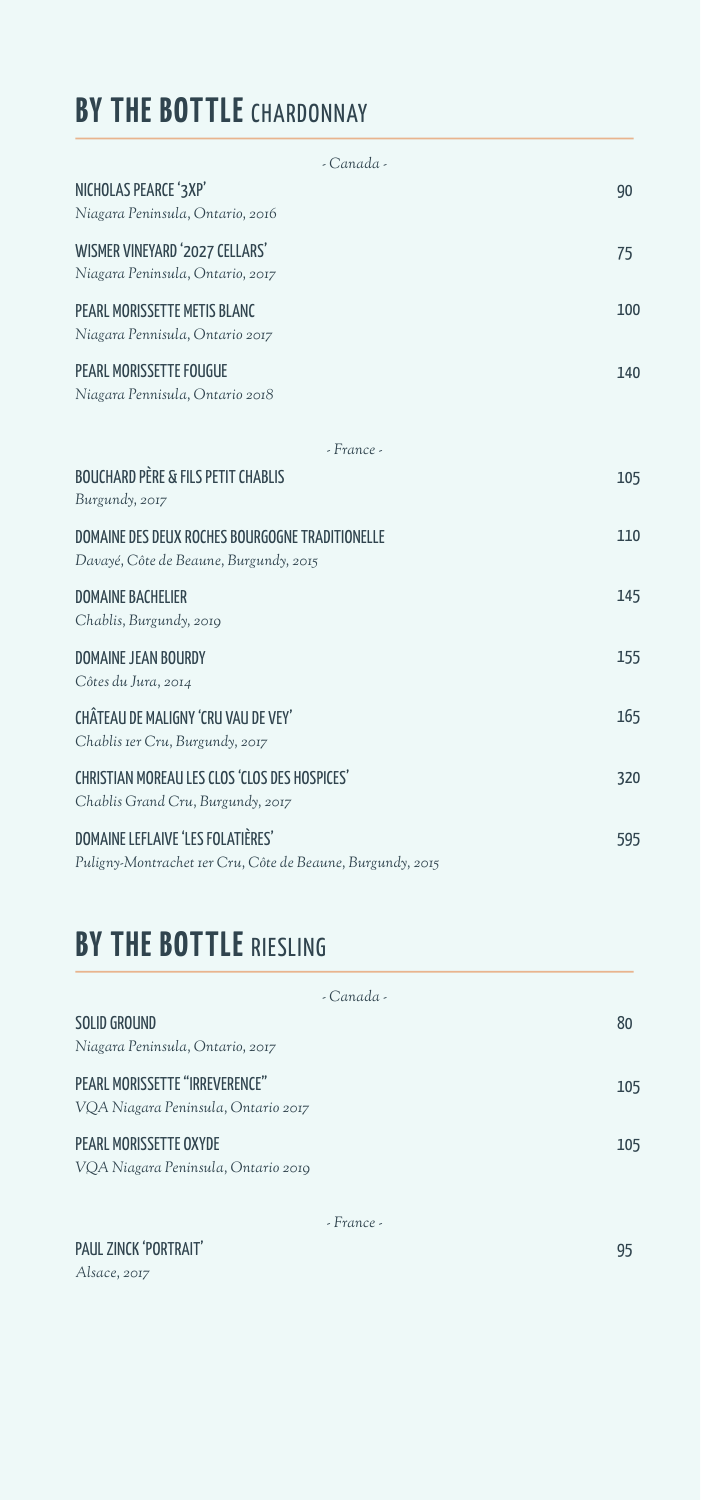# **BY THE BOTTLE** CHARDONNAY

| - Canada -                                                                                      |     |
|-------------------------------------------------------------------------------------------------|-----|
| NICHOLAS PEARCE '3XP'<br>Niagara Peninsula, Ontario, 2016                                       | 90  |
| WISMER VINEYARD '2027 CELLARS'<br>Niagara Peninsula, Ontario, 2017                              | 75  |
| PEARL MORISSETTE METIS BLANC<br>Niagara Pennisula, Ontario 2017                                 | 100 |
| <b>PEARL MORISSETTE FOUGUE</b><br>Niagara Pennisula, Ontario 2018                               | 140 |
| - France -                                                                                      |     |
| <b>BOUCHARD PÈRE &amp; FILS PETIT CHABLIS</b><br>Burgundy, 2017                                 | 105 |
| DOMAINE DES DEUX ROCHES BOURGOGNE TRADITIONELLE<br>Davayé, Côte de Beaune, Burgundy, 2015       | 110 |
| <b>DOMAINE BACHELIER</b><br>Chablis, Burgundy, 2019                                             | 145 |
| DOMAINE JFAN BOLIRDY<br>Côtes du Jura, 2014                                                     | 155 |
| CHÂTEAU DE MALIGNY 'CRU VAU DE VEY'<br>Chablis Ier Cru, Burgundy, 2017                          | 165 |
| CHRISTIAN MOREAU LES CLOS 'CLOS DES HOSPICES'<br>Chablis Grand Cru, Burgundy, 2017              | 320 |
| DOMAINE LEFLAIVE 'LES FOLATIÈRES'<br>Puligny-Montrachet Ier Cru, Côte de Beaune, Burgundy, 2015 | 595 |

### **BY THE BOTTLE RIESLING**

| - Canada -                                                            |     |
|-----------------------------------------------------------------------|-----|
| SOLID GROUND<br>Niagara Peninsula, Ontario, 2017                      | 80  |
| PEARL MORISSETTE "IRREVERENCE"<br>VOA Niagara Peninsula, Ontario 2017 | 105 |
| PEARL MORISSETTE OXYDE<br>VOA Niagara Peninsula, Ontario 2010         | 105 |

*- France -*

#### PAUL ZINCK 'PORTRAIT' 95

*Alsace, 2017*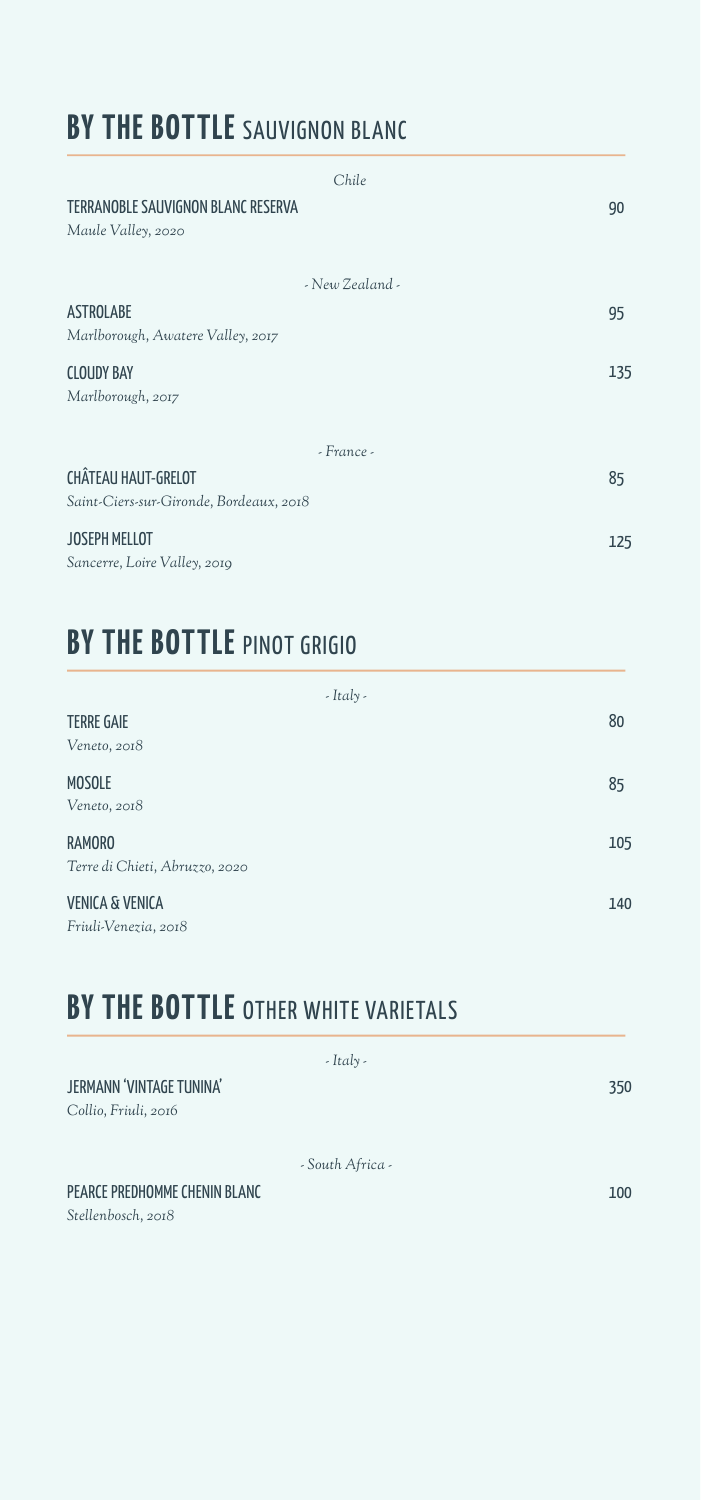# **BY THE BOTTLE** SAUVIGNON BLANC

| Chile                                                                 |     |
|-----------------------------------------------------------------------|-----|
| TERRANOBLE SAUVIGNON BLANC RESERVA<br>Maule Valley, 2020              | 90  |
| - New Zealand -                                                       |     |
| <b>ASTROLABE</b><br>Marlborough, Awatere Valley, 2017                 | 95  |
| <b>CLOUDY BAY</b><br>Marlborough, 2017                                | 135 |
| $-$ France $-$                                                        |     |
| <b>CHÂTEAU HAUT-GRELOT</b><br>Saint-Ciers-sur-Gironde, Bordeaux, 2018 | 85  |
| <b>JOSEPH MELLOT</b><br>Sancerre, Loire Valley, 2019                  | 125 |

### **BY THE BOTTLE** PINOT GRIGIO

| $-Italy -$                     |     |
|--------------------------------|-----|
| <b>TERRE GAIE</b>              | 80  |
| Veneto, 2018                   |     |
| <b>MOSOLE</b>                  | 85  |
| Veneto, 2018                   |     |
| <b>RAMORO</b>                  | 105 |
| Terre di Chieti, Abruzzo, 2020 |     |
| <b>VENICA &amp; VENICA</b>     | 140 |
| Friuli-Venezia, 2018           |     |

## **BY THE BOTTLE OTHER WHITE VARIETALS**

| $-It$ aly -                                      |     |
|--------------------------------------------------|-----|
| JERMANN 'VINTAGE TUNINA'<br>Collio, Friuli, 2016 | 350 |
| - South Africa -                                 |     |
| PEARCE PREDHOMME CHENIN BLANC                    | 100 |
| Stellenbosch, 2018                               |     |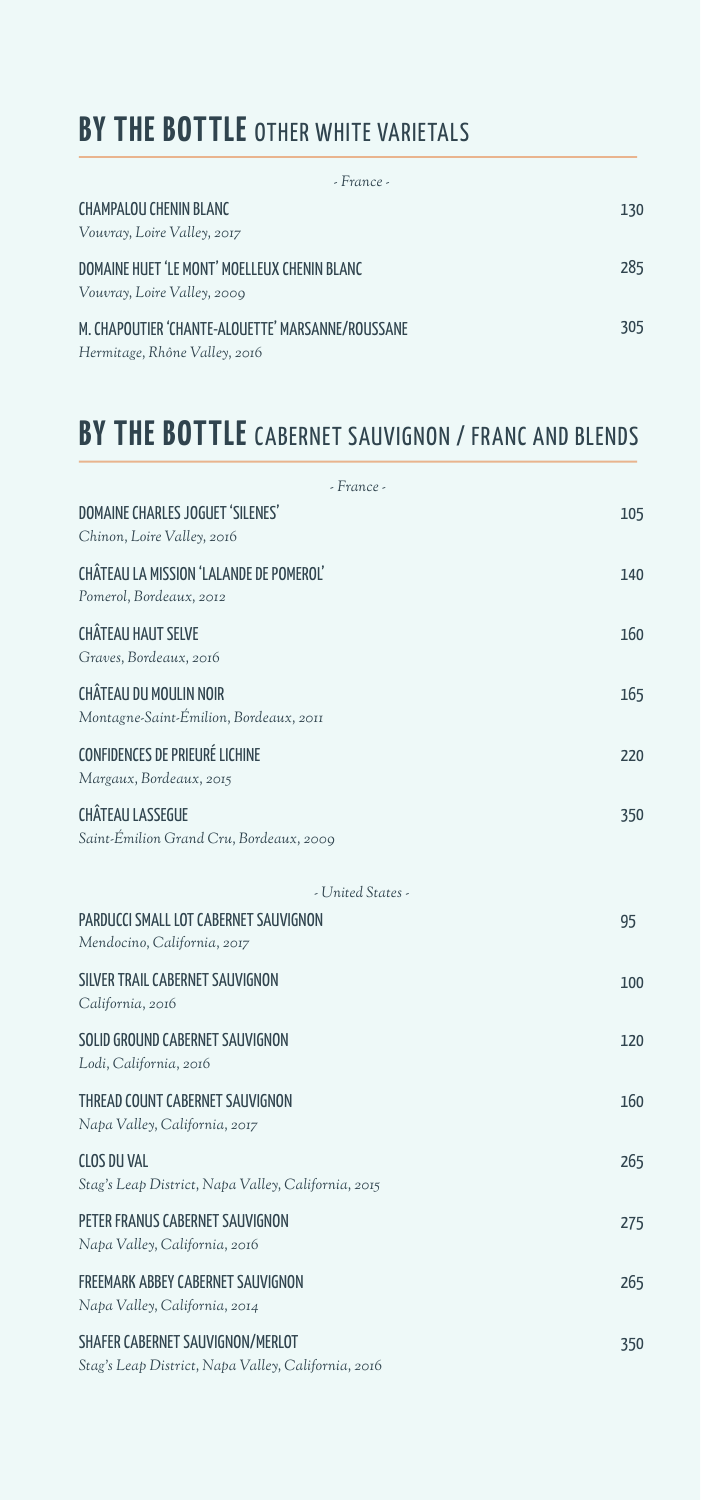# **BY THE BOTTLE OTHER WHITE VARIETALS**

| - France -                                        |     |
|---------------------------------------------------|-----|
| <b>CHAMPALOU CHENIN BLANC</b>                     | 130 |
| Vouvray, Loire Valley, 2017                       |     |
| DOMAINE HUFT 'I F MONT' MOFI LEUX CHENIN BLANC    | 285 |
| Vouvray, Loire Valley, 2009                       |     |
| M. CHAPOUTIER 'CHANTE-ALOUETTE' MARSANNE/ROUSSANE | 305 |
| Hermitage, Rhône Valley, 2016                     |     |

#### **BY THE BOTTLE** CABERNET SAUVIGNON / FRANC AND BLENDS

| - France -                                                                              |     |
|-----------------------------------------------------------------------------------------|-----|
| DOMAINE CHARLES JOGUET 'SILENES'<br>Chinon, Loire Valley, 2016                          | 105 |
| CHATEAU LA MISSION 'LALANDE DE POMEROL'<br>Pomerol, Bordeaux, 2012                      | 140 |
| <b>CHÂTEAU HAUT SELVE</b><br>Graves, Bordeaux, 2016                                     | 160 |
| CHÂTEAU DU MOULIN NOIR<br>Montagne-Saint-Émilion, Bordeaux, 2011                        | 165 |
| <b>CONFIDENCES DE PRIEURÉ LICHINE</b><br>Margaux, Bordeaux, 2015                        | 220 |
| <b>CHÂTEAU LASSEGUE</b><br>Saint-Émilion Grand Cru, Bordeaux, 2009                      | 350 |
| - United States -                                                                       |     |
| PARDUCCI SMALL LOT CABERNET SAUVIGNON<br>Mendocino, California, 2017                    | 95  |
| SILVER TRAIL CABERNET SAUVIGNON<br>California, 2016                                     | 100 |
| SOLID GROUND CABERNET SAUVIGNON<br>Lodi, California, 2016                               | 120 |
| THREAD COUNT CABERNET SAUVIGNON<br>Napa Valley, California, 2017                        | 160 |
| CLOS DII VAL<br>Stag's Leap District, Napa Valley, California, 2015                     | 265 |
| PETER FRANUS CABERNET SAUVIGNON<br>Napa Valley, California, 2016                        | 275 |
| FREEMARK ABBEY CABERNET SAUVIGNON<br>Napa Valley, California, 2014                      | 265 |
| SHAFER CABERNET SAUVIGNON/MERLOT<br>Stag's Leap District, Napa Valley, California, 2016 | 350 |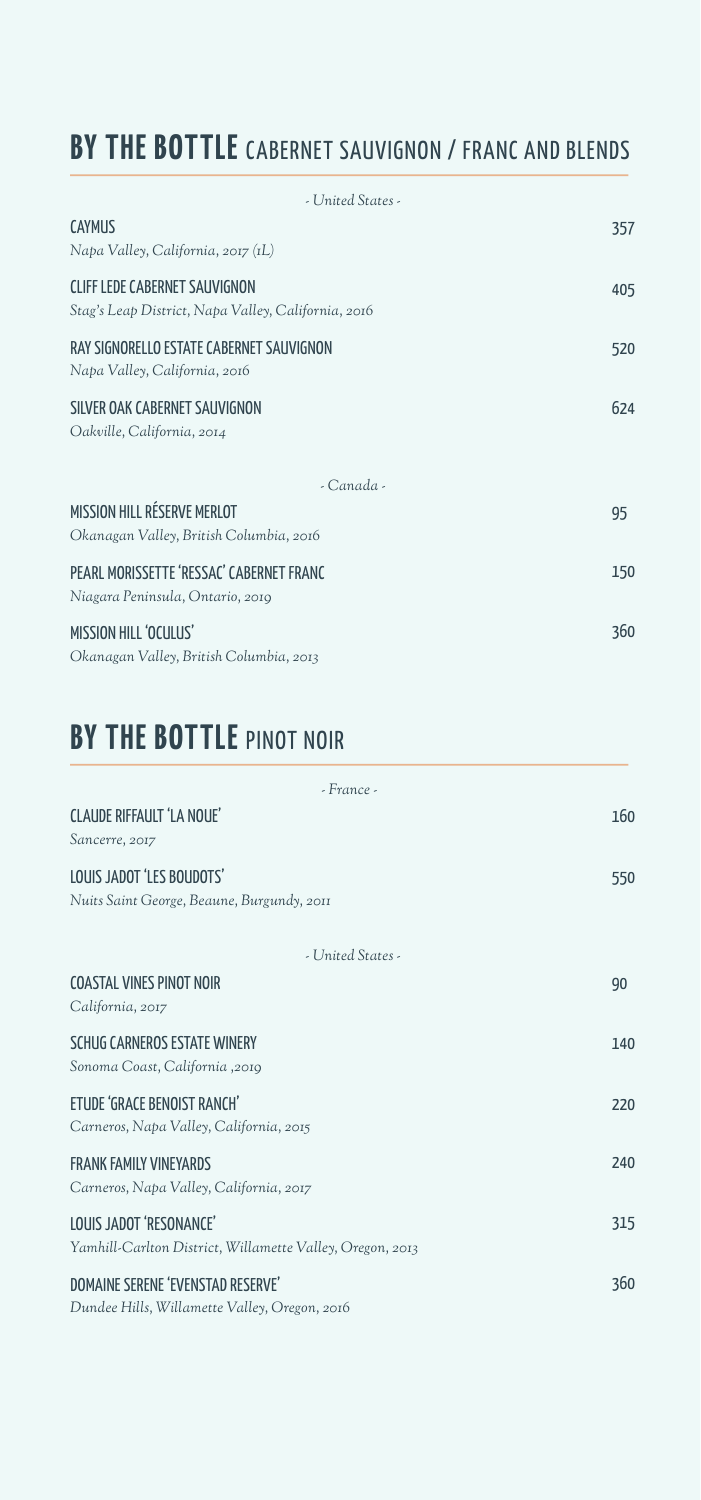# **BY THE BOTTLE** CABERNET SAUVIGNON / FRANC AND BLENDS

| - United States -                                                                           |     |
|---------------------------------------------------------------------------------------------|-----|
| CAYMUS<br>Napa Valley, California, 2017 (IL)                                                | 357 |
| <b>CLIFF LEDE CABERNET SAUVIGNON</b><br>Stag's Leap District, Napa Valley, California, 2016 | 405 |
| RAY SIGNORELLO ESTATE CABERNET SAUVIGNON<br>Napa Valley, California, 2016                   | 520 |
| SILVER OAK CABERNET SAUVIGNON<br>Oakville, California, 2014                                 | 624 |
| - Canada -                                                                                  |     |
| MISSION HILL RÉSERVE MERLOT<br>Okanagan Valley, British Columbia, 2016                      | 95  |
| PEARL MORISSETTE 'RESSAC' CABERNET FRANC<br>Niagara Peninsula, Ontario, 2019                | 150 |
| MISSION HILL 'OCULUS'<br>Okanagan Valley, British Columbia, 2013                            | 360 |

# **BY THE BOTTLE** PINOT NOIR

| - France -                                                                           |     |
|--------------------------------------------------------------------------------------|-----|
| CLAUDE RIFFAULT 'LA NOUE'<br>Sancerre, 2017                                          | 160 |
| LOUIS JADOT 'LES BOUDOTS'<br>Nuits Saint George, Beaune, Burgundy, 2011              | 550 |
| - United States -                                                                    |     |
| <b>COASTAL VINES PINOT NOIR</b><br>California, 2017                                  | 90  |
| SCHLIG CARNEROS ESTATE WINERY<br>Sonoma Coast, California, 2019                      | 140 |
| ETUDE 'GRACE BENOIST RANCH'<br>Carneros, Napa Valley, California, 2015               | 220 |
| <b>FRANK FAMILY VINFYARDS</b><br>Carneros, Napa Valley, California, 2017             | 240 |
| LOUIS JADOT 'RESONANCE'<br>Yamhill-Carlton District, Willamette Valley, Oregon, 2013 | 315 |
| DOMAINE SERENE 'EVENSTAD RESERVE'<br>Dundee Hills, Willamette Valley, Oregon, 2016   | 360 |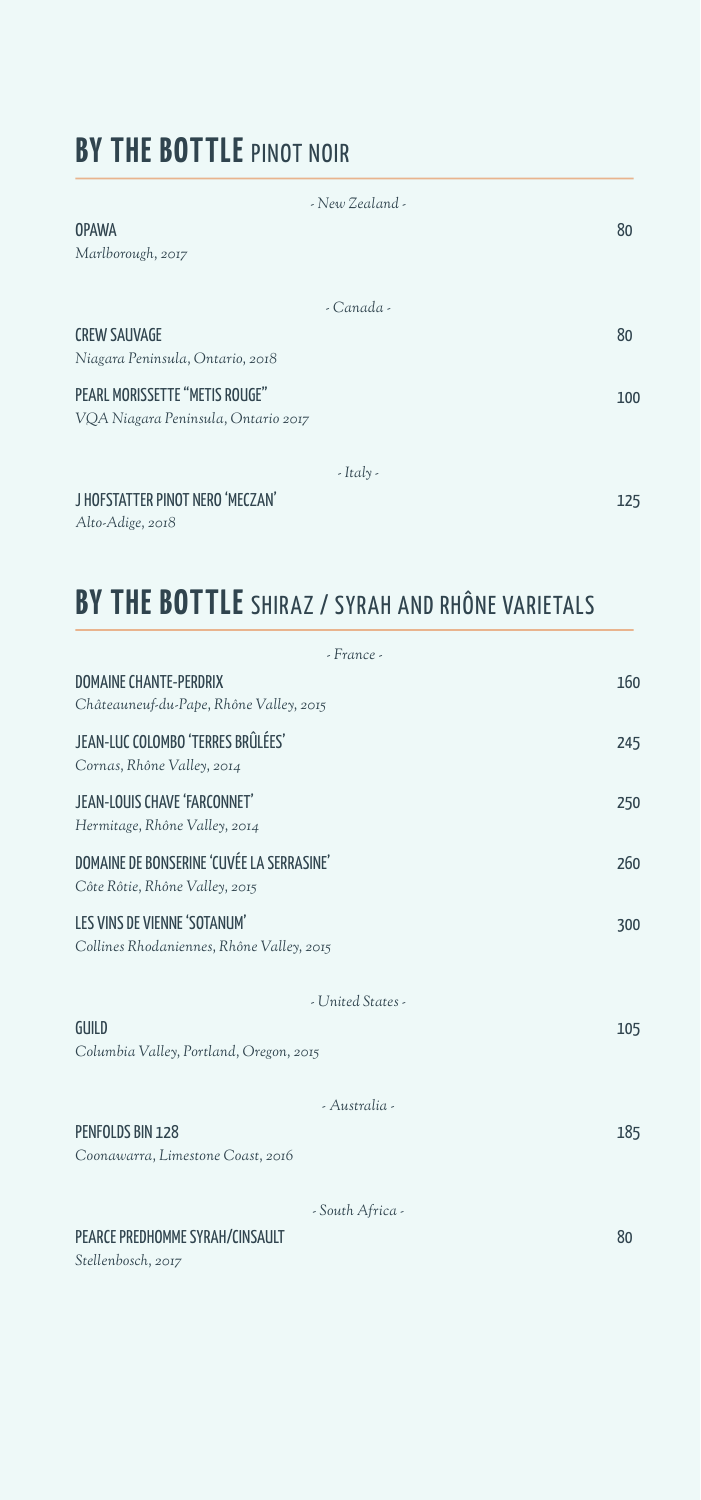### **BY THE BOTTLE** PINOT NOIR

| - New Zealand -                     |     |
|-------------------------------------|-----|
| <b>OPAWA</b>                        | 80  |
| Marlborough, 2017                   |     |
|                                     |     |
| $-Canada$                           |     |
| <b>CREW SAUVAGE</b>                 | 80  |
| Niagara Peninsula, Ontario, 2018    |     |
| PEARL MORISSETTE "METIS ROUGE"      | 100 |
| VQA Niagara Peninsula, Ontario 2017 |     |
|                                     |     |
| $-$ Italy -                         |     |
| J HOFSTATTER PINOT NERO 'MECZAN'    | 125 |

*Alto-Adige, 2018*

# **BY THE BOTTLE** SHIRAZ / SYRAH AND RHÔNE VARIETALS

| - France -                                                                  |     |
|-----------------------------------------------------------------------------|-----|
| <b>DOMAINE CHANTE-PERDRIX</b><br>Châteauneuf-du-Pape, Rhône Valley, 2015    | 160 |
| JEAN-LUC COLOMBO 'TERRES BRÛLÉES'<br>Cornas, Rhône Valley, 2014             | 245 |
| JEAN-LOUIS CHAVE 'FARCONNET'<br>Hermitage, Rhône Valley, 2014               | 250 |
| DOMAINE DE BONSERINE 'CUVÉE LA SERRASINE'<br>Côte Rôtie, Rhône Valley, 2015 | 260 |
| LES VINS DE VIENNE 'SOTANUM'<br>Collines Rhodaniennes, Rhône Valley, 2015   | 300 |
| - United States -                                                           |     |
| GUILD<br>Columbia Valley, Portland, Oregon, 2015                            | 105 |
| - Australia -                                                               |     |
| PENFOLDS BIN 128<br>Coonawarra, Limestone Coast, 2016                       | 185 |
| - South Africa -                                                            |     |
| PEARCE PREDHOMME SYRAH/CINSAULT<br>Stellenbosch, 2017                       | 80  |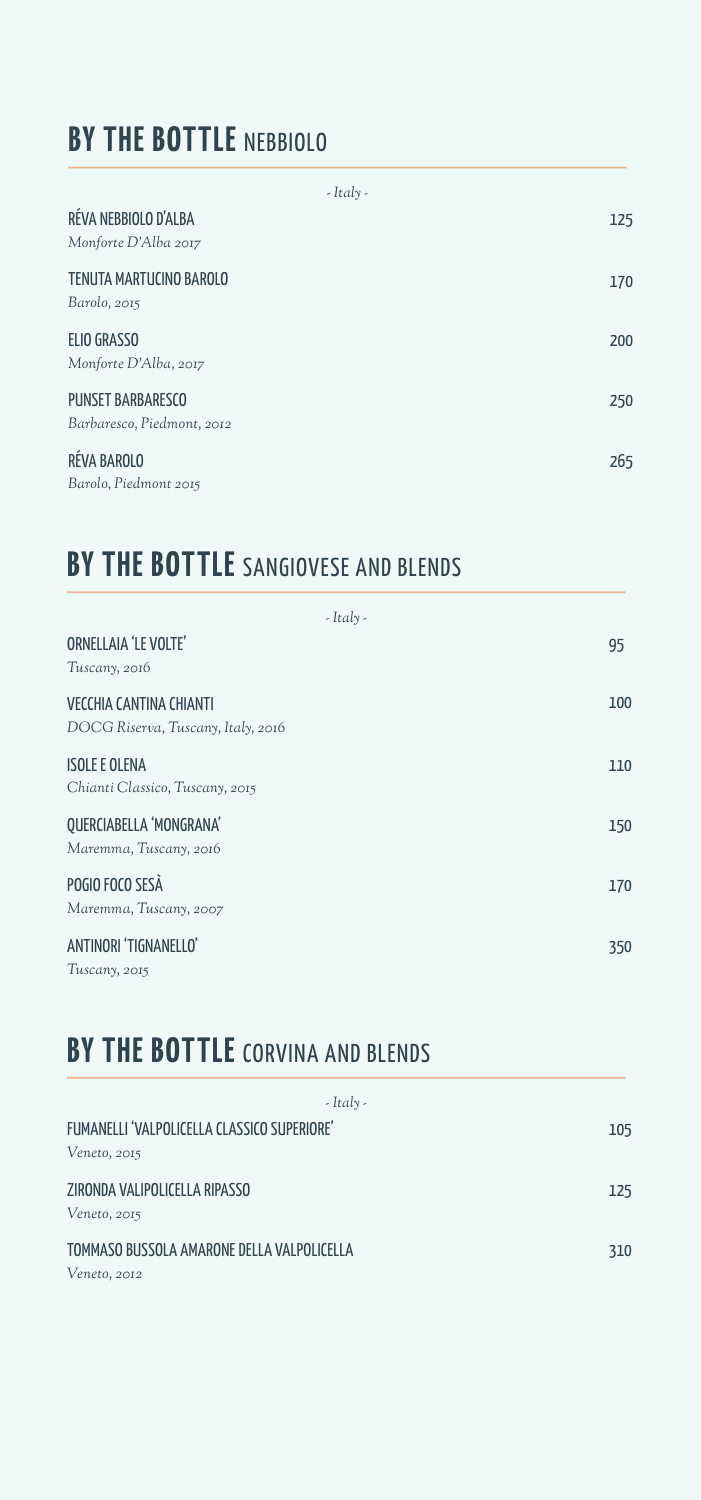### **BY THE BOTTLE NEBBIOLO**

| $-It$ aly -                |     |
|----------------------------|-----|
| RÉVA NEBBIOLO D'ALBA       | 125 |
| Monforte D'Alba 2017       |     |
| TENUTA MARTUCINO BAROLO    | 170 |
| Barolo, 2015               |     |
| <b>ELIO GRASSO</b>         | 200 |
| Monforte D'Alba, 2017      |     |
| <b>PUNSET BARBARESCO</b>   | 250 |
| Barbaresco, Piedmont, 2012 |     |
| RÉVA BAROLO                | 265 |
| Barolo, Piedmont 2015      |     |

#### **BY THE BOTTLE** SANGIOVESE AND BLENDS

| $-It$ aly -                                                          |     |
|----------------------------------------------------------------------|-----|
| <b>ORNELLAIA 'LE VOLTE'</b><br>Tuscany, 2016                         | 95  |
| <b>VECCHIA CANTINA CHIANTI</b><br>DOCG Riserva, Tuscany, Italy, 2016 | 100 |
| <b>ISOLE E OLENA</b><br>Chianti Classico, Tuscany, 2015              | 110 |
| QUERCIABELLA 'MONGRANA'<br>Maremma, Tuscany, 2016                    | 150 |
| POGIO FOCO SESÀ<br>Maremma, Tuscany, 2007                            | 170 |
| ANTINORI 'TIGNANFIIO'<br>Tuscany, 2015                               | 350 |

# **BY THE BOTTLE** CORVINA AND BLENDS

| $-It$ aly -                                                        |     |
|--------------------------------------------------------------------|-----|
| FUMANELLI 'VALPOLICELLA CLASSICO SUPERIORE'<br>Veneto, 2015        | 105 |
| ZIRONDA VALIPOLICELLA RIPASSO<br>Veneto, 2015                      | 125 |
| TOMMASO BUSSOLA AMARONE DELLA VALPOLICELLA<br><i>Veneto</i> , 2012 | 310 |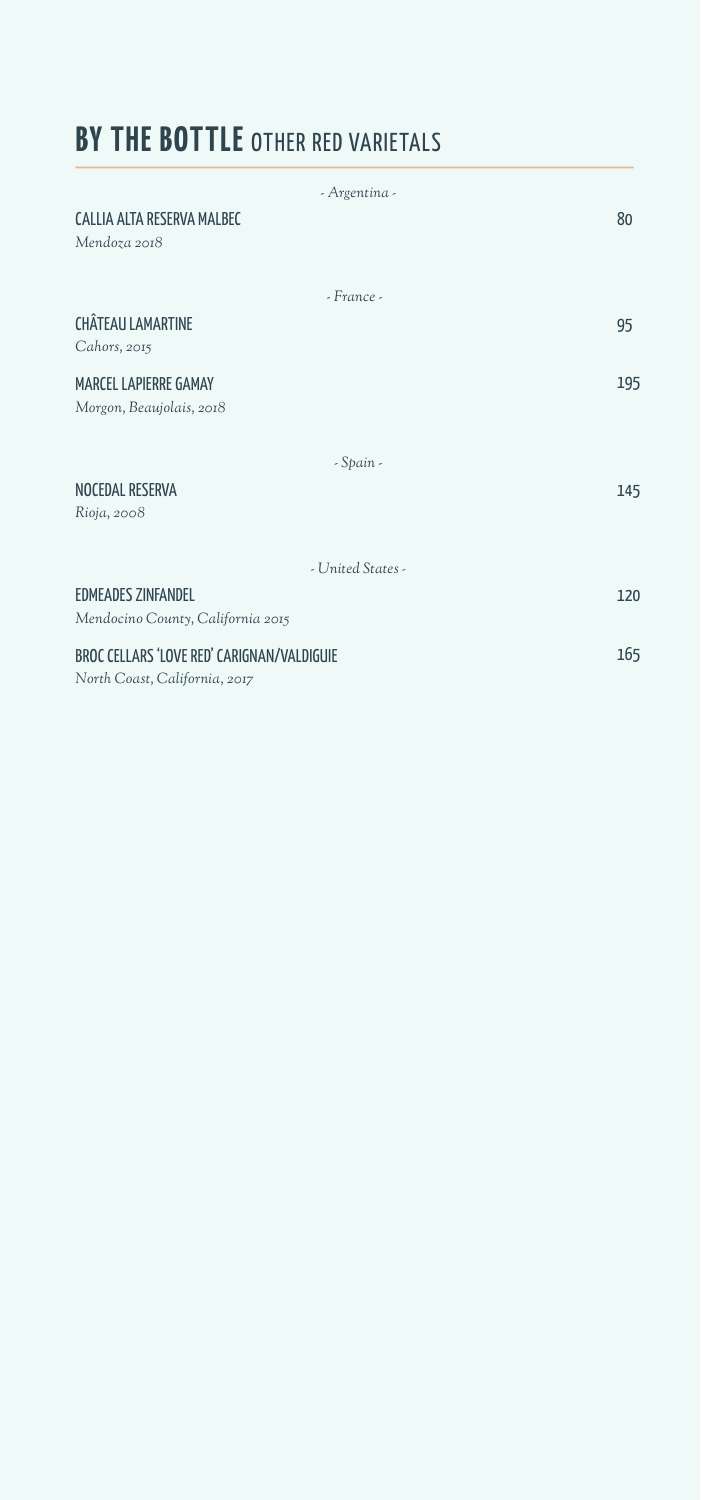### **BY THE BOTTLE OTHER RED VARIETALS**

| - Argentina -                                                               |     |
|-----------------------------------------------------------------------------|-----|
| CALLIA ALTA RESERVA MALBEC<br>Mendoza 2018                                  | 80  |
| - France -                                                                  |     |
| <b>CHÂTEAU LAMARTINE</b><br>Cahors, 2015                                    | 95  |
| <b>MARCEL LAPIERRE GAMAY</b><br>Morgon, Beaujolais, 2018                    | 195 |
| - Spain -                                                                   |     |
| NOCEDAL RESERVA<br>Rioja, 2008                                              | 145 |
| - United States -                                                           |     |
| <b>EDMEADES ZINFANDEL</b>                                                   | 120 |
| Mendocino County, California 2015                                           |     |
| BROC CELLARS 'LOVE RED' CARIGNAN/VALDIGUIE<br>North Coast, California, 2017 | 165 |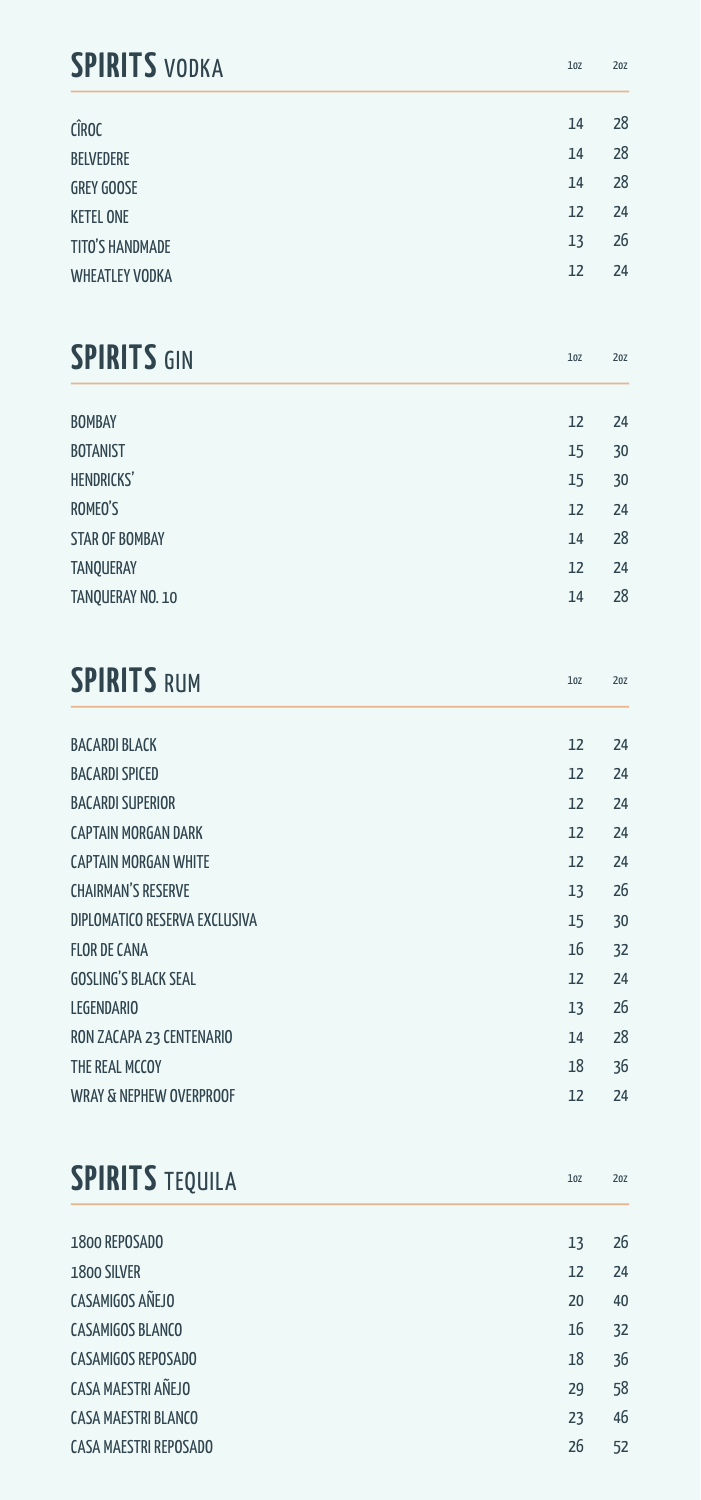## **SPIRITS** VODKA

| <b>CÎROC</b>          | 14 | 28 |
|-----------------------|----|----|
| <b>BELVEDERE</b>      | 14 | 28 |
| <b>GREY GOOSE</b>     | 14 | 28 |
| <b>KETEL ONE</b>      | 12 | 24 |
| TITO'S HANDMADE       | 13 | 26 |
| <b>WHEATLEY VODKA</b> | 12 | 24 |
|                       |    |    |

1oz 2oz

| <b>SPIRITS GIN</b>    | 10Z | 20Z |
|-----------------------|-----|-----|
|                       |     |     |
| <b>BOMBAY</b>         | 12  | 24  |
| <b>BOTANIST</b>       | 15  | 30  |
| HENDRICKS'            | 15  | 30  |
| ROMEO'S               | 12  | 24  |
| <b>STAR OF BOMBAY</b> | 14  | 28  |
| <b>TANQUERAY</b>      | 12  | 24  |
| TANQUERAY NO. 10      | 14  | 28  |
|                       |     |     |

| <b>SPIRITS RUM</b>    | 10 <sub>Z</sub> | 20Z |
|-----------------------|-----------------|-----|
| <b>RACARDI BI ACK</b> |                 |     |

| <b>UALANUI DLALIN</b>              | ᅭ  | 4  |
|------------------------------------|----|----|
| <b>BACARDI SPICED</b>              | 12 | 24 |
| <b>BACARDI SUPERIOR</b>            | 12 | 24 |
| CAPTAIN MORGAN DARK                | 12 | 24 |
| <b>CAPTAIN MORGAN WHITE</b>        | 12 | 24 |
| <b>CHAIRMAN'S RESERVE</b>          | 13 | 26 |
| DIPLOMATICO RESERVA EXCLUSIVA      | 15 | 30 |
| <b>FLOR DE CANA</b>                | 16 | 32 |
| <b>GOSLING'S BLACK SEAL</b>        | 12 | 24 |
| <b>LEGENDARIO</b>                  | 13 | 26 |
| RON ZACAPA 23 CENTENARIO           | 14 | 28 |
| THE REAL MCCOY                     | 18 | 36 |
| <b>WRAY &amp; NEPHEW OVERPROOF</b> | 12 | 24 |

| <b>SPIRITS TEQUILA</b>     | 10Z | 20Z |
|----------------------------|-----|-----|
|                            |     |     |
| 1800 REPOSADO              | 13  | 26  |
| 1800 SILVER                | 12  | 24  |
| CASAMIGOS AÑEJO            | 20  | 40  |
| <b>CASAMIGOS BLANCO</b>    | 16  | 32  |
| <b>CASAMIGOS REPOSADO</b>  | 18  | 36  |
| CASA MAESTRI AÑEJO         | 29  | 58  |
| <b>CASA MAESTRI BLANCO</b> | 23  | 46  |
| CASA MAESTRI REPOSADO      | 26  | 52  |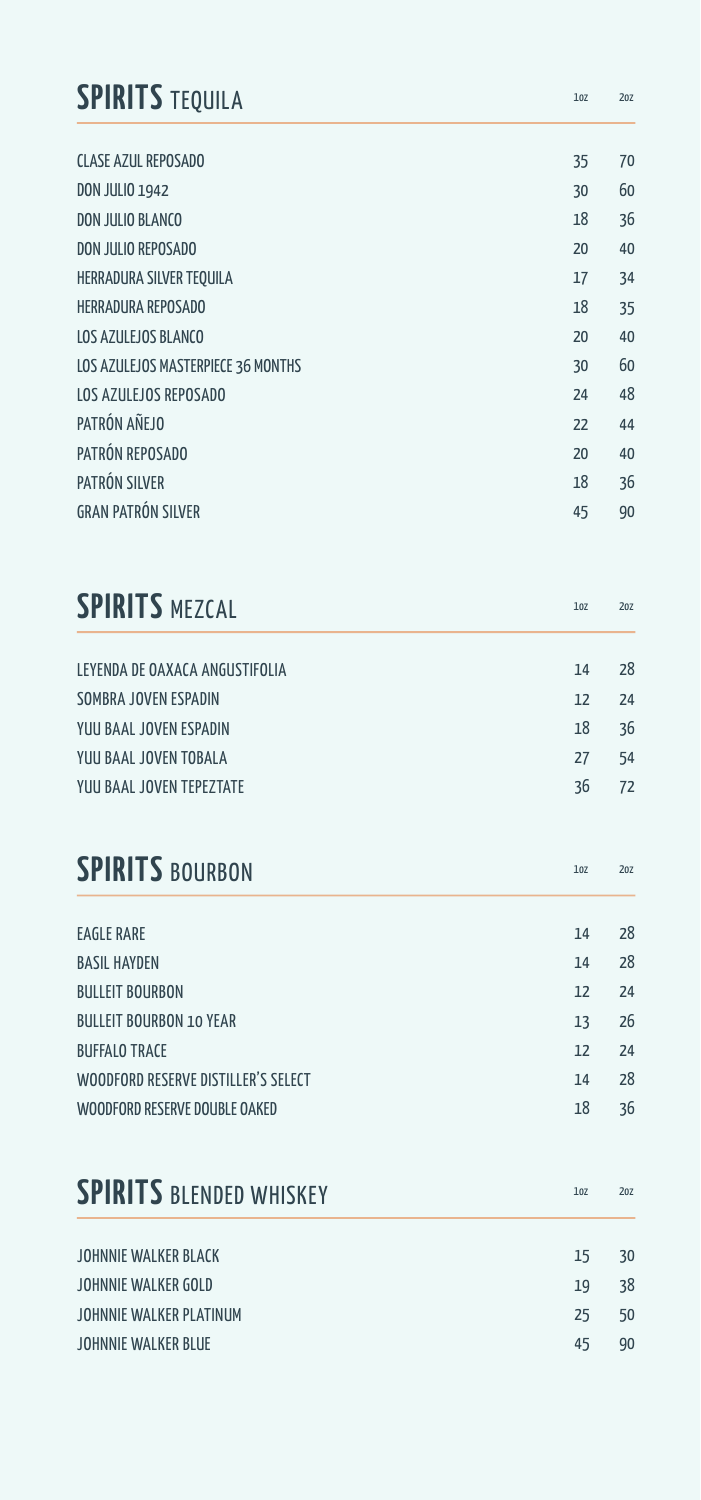| <b>SPIRITS TEQUILA</b>              | 10Z             | 20Z |
|-------------------------------------|-----------------|-----|
| <b>CLASE AZUL REPOSADO</b>          | 35              | 70  |
| <b>DON JULIO 1942</b>               | 30              | 60  |
| DON JULIO BLANCO                    | 18              | 36  |
| DON JULIO REPOSADO                  | 20              | 40  |
| HERRADURA SILVER TEQUILA            | 17              | 34  |
| <b>HERRADURA REPOSADO</b>           | 18              | 35  |
| LOS AZULEJOS BLANCO                 | 20              | 40  |
| LOS AZULEJOS MASTERPIECE 36 MONTHS  | 30              | 60  |
| LOS AZULEJOS REPOSADO               | 24              | 48  |
| PATRÓN AÑEJO                        | 22              | 44  |
| PATRÓN REPOSADO                     | 20              | 40  |
| PATRÓN SILVER                       | 18              | 36  |
| <b>GRAN PATRÓN SILVER</b>           | 45              | 90  |
| <b>SPIRITS MEZCAL</b>               | 10Z             | 20Z |
| LEYENDA DE OAXACA ANGUSTIFOLIA      | 14              | 28  |
| SOMBRA JOVEN ESPADIN                | 12              | 24  |
| YUU BAAL JOVEN ESPADIN              | 18              | 36  |
| YUU BAAL JOVEN TOBALA               | 27              | 54  |
| YUU BAAL JOVEN TEPEZTATE            | 36              | 72  |
| <b>SPIRITS BOURBON</b>              | 10 <sub>Z</sub> | 20Z |
| <b>EAGLE RARE</b>                   | 14              | 28  |
| <b>BASIL HAYDEN</b>                 | 14              | 28  |
| <b>BIII I FIT BOURBON</b>           | 12              | 24  |
| <b>BULLEIT BOURBON 10 YEAR</b>      | 13              | 26  |
| <b>BUFFALO TRACE</b>                | 12              | 24  |
| WOODFORD RESERVE DISTILLER'S SELECT | 14              | 28  |
| WOODFORD RESERVE DOUBLE OAKED       | 18              | 36  |
|                                     |                 |     |

| <b>SPIRITS BLENDED WHISKEY</b> | 10 <sub>Z</sub> | 20Z |
|--------------------------------|-----------------|-----|
|                                |                 |     |
| JOHNNIE WALKER BLACK           | 15              | 30  |
| JOHNNIE WALKER GOLD            | 19              | 38  |
| JOHNNIE WALKER PLATINUM        | 25              | 50  |
| JOHNNIE WALKER BLUE            | 45              | 90  |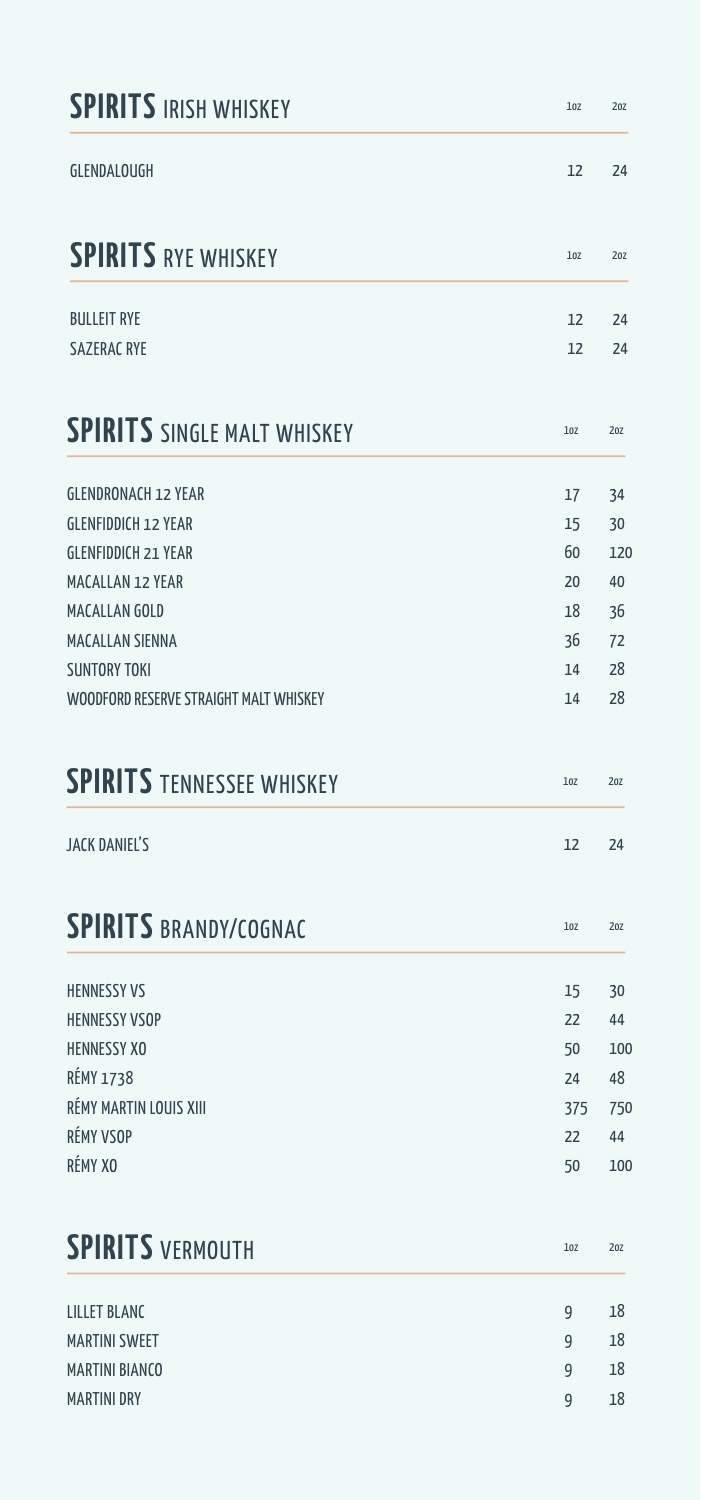| <b>SPIRITS IRISH WHISKEY</b>           | 10Z | 20Z |
|----------------------------------------|-----|-----|
| <b>GLENDALOUGH</b>                     | 12  | 24  |
| <b>SPIRITS RYE WHISKEY</b>             | 10Z | 20Z |
| <b>BULLEIT RYE</b>                     | 12  | 24  |
| <b>SAZERAC RYE</b>                     | 12  | 24  |
| <b>SPIRITS SINGLE MALT WHISKEY</b>     | 10Z | 20Z |
| <b>GLENDRONACH 12 YEAR</b>             | 17  | 34  |
| <b>GLENFIDDICH 12 YEAR</b>             | 15  | 30  |
| <b>GLENFIDDICH 21 YEAR</b>             | 60  | 120 |
| <b>MACALLAN 12 YEAR</b>                | 20  | 40  |
| MACALLAN GOLD                          | 18  | 36  |
| <b>MACALLAN SIENNA</b>                 | 36  | 72  |
| <b>SUNTORY TOKI</b>                    | 14  | 28  |
| WOODFORD RESERVE STRAIGHT MALT WHISKEY | 14  | 28  |
| <b>SPIRITS TENNESSEE WHISKEY</b>       | 10Z | 20Z |
| <b>JACK DANIEL'S</b>                   | 12  | 24  |
| <b>SPIRITS BRANDY/COGNAC</b>           | 10Z | 20Z |
| <b>HENNESSY VS</b>                     | 15  | 30  |
| <b>HENNESSY VSOP</b>                   | 22  | 44  |
| <b>HENNESSY XO</b>                     | 50  | 100 |
| <b>RÉMY 1738</b>                       | 24  | 48  |
| RÉMY MARTIN LOUIS XIII                 | 375 | 750 |
| RÉMY VSOP                              | 22  | 44  |
| RÉMY XO                                | 50  | 100 |
| <b>SPIRITS VERMOUTH</b>                | 10Z | 20Z |
| <b>LILLET BLANC</b>                    | 9   | 18  |
| <b>MARTINI SWEET</b>                   | 9   | 18  |
| <b>MARTINI BIANCO</b>                  | 9   | 18  |
| <b>MARTINI DRY</b>                     | 9   | 18  |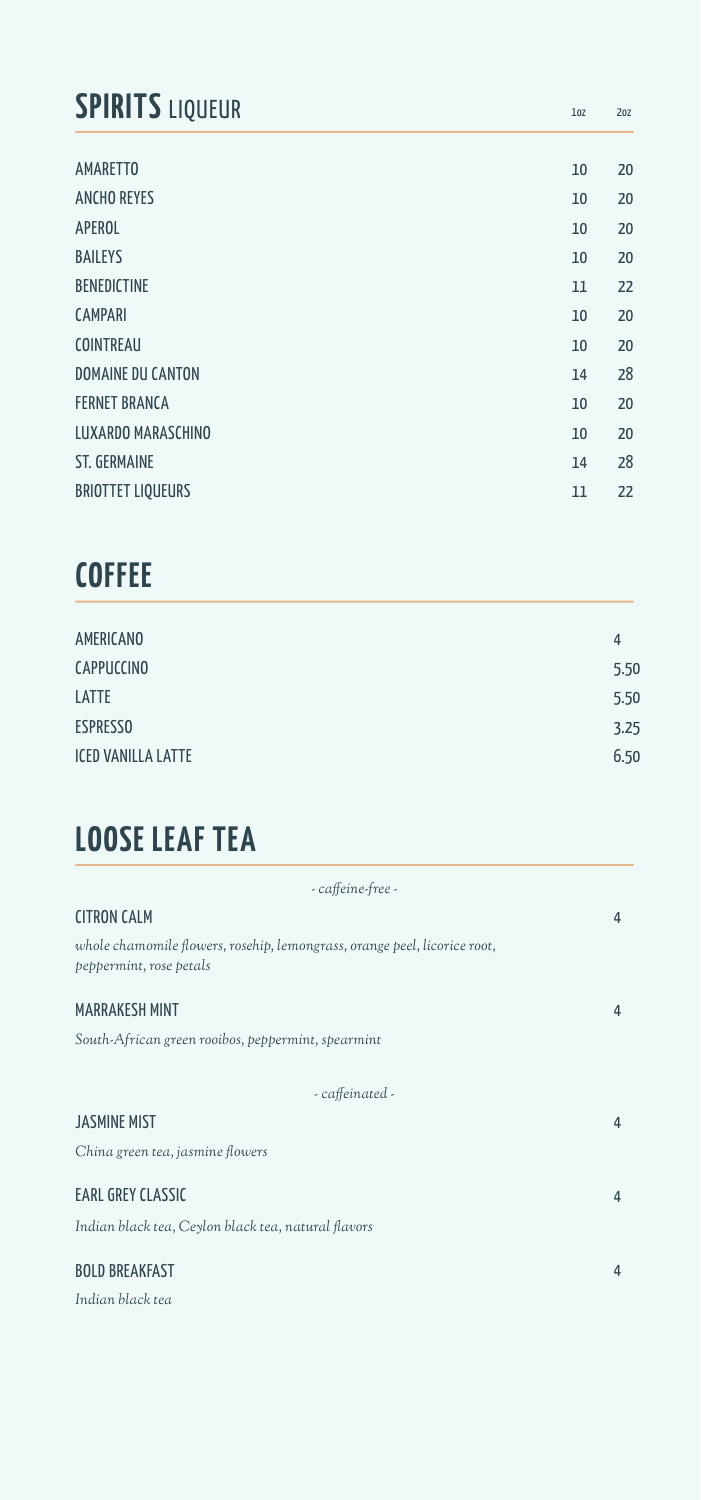# **SPIRITS** LIQUEUR

| <b>AMARETTO</b>          | 10 | 20 |
|--------------------------|----|----|
| <b>ANCHO REYES</b>       | 10 | 20 |
| APEROL                   | 10 | 20 |
| <b>BAILEYS</b>           | 10 | 20 |
| <b>BENEDICTINE</b>       | 11 | 22 |
| <b>CAMPARI</b>           | 10 | 20 |
| <b>COINTREAU</b>         | 10 | 20 |
| <b>DOMAINE DU CANTON</b> | 14 | 28 |
| <b>FERNET BRANCA</b>     | 10 | 20 |
| LUXARDO MARASCHINO       | 10 | 20 |
| <b>ST. GERMAINE</b>      | 14 | 28 |
| <b>BRIOTTET LIQUEURS</b> | 11 | 22 |
|                          |    |    |

1oz 2oz

# **COFFEE**

| AMERICANO                 | 4    |
|---------------------------|------|
| CAPPUCCINO                | 5.50 |
| LATTE                     | 5.50 |
| <b>ESPRESSO</b>           | 3.25 |
| <b>ICED VANILLA LATTE</b> | 6.50 |
|                           |      |

# **LOOSE LEAF TEA**

| - caffeine-free -                                                                                    |   |
|------------------------------------------------------------------------------------------------------|---|
| <b>CITRON CALM</b>                                                                                   | 4 |
| whole chamomile flowers, rosehip, lemongrass, orange peel, licorice root,<br>peppermint, rose petals |   |
| <b>MARRAKESH MINT</b>                                                                                | 4 |
| South-African green rooibos, peppermint, spearmint                                                   |   |
| - caffeinated -                                                                                      |   |
| <b>JASMINE MIST</b>                                                                                  | 4 |
| China green tea, jasmine flowers                                                                     |   |
| EARL GREY CLASSIC                                                                                    | 4 |
| Indian black tea, Ceylon black tea, natural flavors                                                  |   |
| <b>BOLD BREAKFAST</b>                                                                                | 4 |
| Indian black tea                                                                                     |   |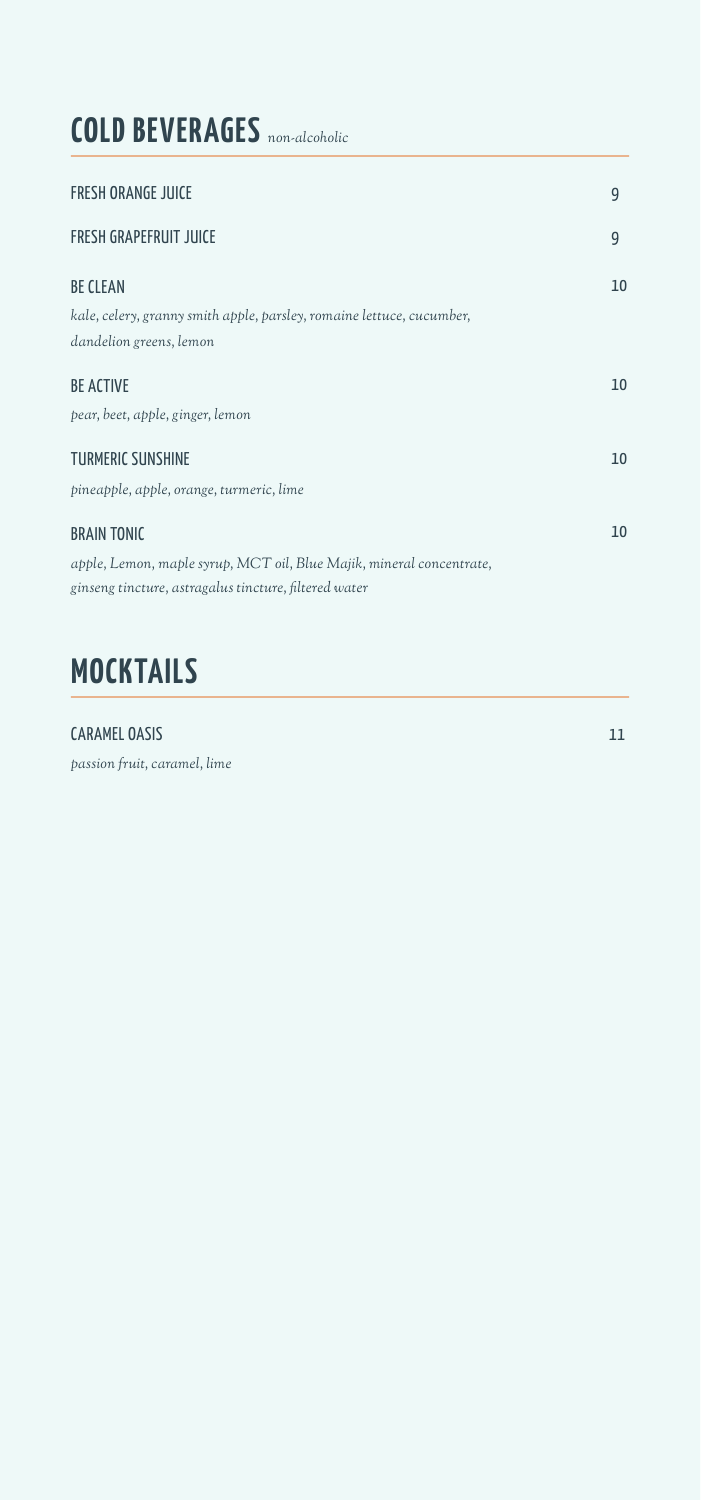# **COLD BEVERAGES** *non-alcoholic*

| FRESH ORANGE JUICE                                                    | 9  |
|-----------------------------------------------------------------------|----|
| FRESH GRAPEFRUIT JUICE                                                | 9  |
| <b>BE CLEAN</b>                                                       | 10 |
| kale, celery, granny smith apple, parsley, romaine lettuce, cucumber, |    |
| dandelion greens, lemon                                               |    |
| <b>BE ACTIVE</b>                                                      | 10 |
| pear, beet, apple, ginger, lemon                                      |    |
| TURMERIC SUNSHINE                                                     | 10 |
| pineapple, apple, orange, turmeric, lime                              |    |
| <b>BRAIN TONIC</b>                                                    | 10 |
| apple, Lemon, maple syrup, MCT oil, Blue Majik, mineral concentrate,  |    |
| ginseng tincture, astragalus tincture, filtered water                 |    |
|                                                                       |    |

# **MOCKTAILS**

#### CARAMEL OASIS

*passion fruit, caramel, lime*

11